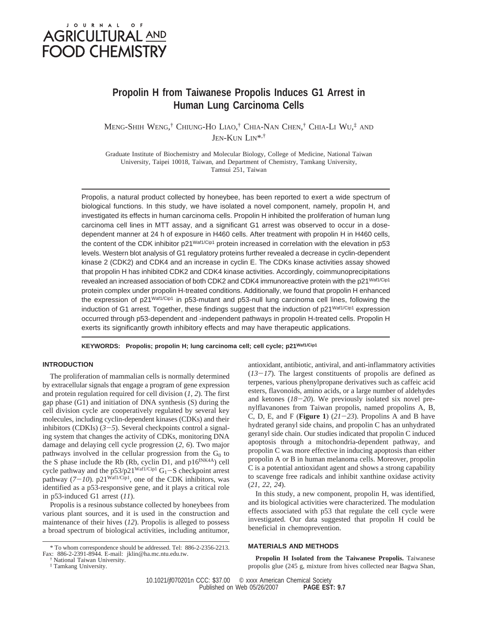# JOURNAL OF **AGRICULTURAL AND FOOD CHEMISTRY**

# **Propolin H from Taiwanese Propolis Induces G1 Arrest in Human Lung Carcinoma Cells**

Meng-Shih Weng,† Chiung-Ho Liao,† Chia-Nan Chen,† Chia-Li Wu,‡ and JEN-KUN LIN\*,†

Graduate Institute of Biochemistry and Molecular Biology, College of Medicine, National Taiwan University, Taipei 10018, Taiwan, and Department of Chemistry, Tamkang University, Tamsui 251, Taiwan

Propolis, a natural product collected by honeybee, has been reported to exert a wide spectrum of biological functions. In this study, we have isolated a novel component, namely, propolin H, and investigated its effects in human carcinoma cells. Propolin H inhibited the proliferation of human lung carcinoma cell lines in MTT assay, and a significant G1 arrest was observed to occur in a dosedependent manner at 24 h of exposure in H460 cells. After treatment with propolin H in H460 cells, the content of the CDK inhibitor p21<sup>Waf1/Cip1</sup> protein increased in correlation with the elevation in p53 levels. Western blot analysis of G1 regulatory proteins further revealed a decrease in cyclin-dependent kinase 2 (CDK2) and CDK4 and an increase in cyclin E. The CDKs kinase activities assay showed that propolin H has inhibited CDK2 and CDK4 kinase activities. Accordingly, coimmunoprecipitations revealed an increased association of both CDK2 and CDK4 immunoreactive protein with the p21 Waf1/Cip1 protein complex under propolin H-treated conditions. Additionally, we found that propolin H enhanced the expression of p21<sup>Waf1/Cip1</sup> in p53-mutant and p53-null lung carcinoma cell lines, following the induction of G1 arrest. Together, these findings suggest that the induction of  $p21<sup>Waf1/Cip1</sup>$  expression occurred through p53-dependent and -independent pathways in propolin H-treated cells. Propolin H exerts its significantly growth inhibitory effects and may have therapeutic applications.

**KEYWORDS: Propolis; propolin H; lung carcinoma cell; cell cycle; p21Waf1/Cip1**

## **INTRODUCTION**

The proliferation of mammalian cells is normally determined by extracellular signals that engage a program of gene expression and protein regulation required for cell division (*1*, *2*). The first gap phase (G1) and initiation of DNA synthesis (S) during the cell division cycle are cooperatively regulated by several key molecules, including cyclin-dependent kinases (CDKs) and their inhibitors (CDKIs)  $(3-5)$ . Several checkpoints control a signaling system that changes the activity of CDKs, monitoring DNA damage and delaying cell cycle progression (*2*, *6*). Two major pathways involved in the cellular progression from the  $G_0$  to the S phase include the Rb (Rb, cyclin D1, and  $p16^{INK4A}$ ) cell cycle pathway and the  $p53/p21^{\text{Waf1/Cip1}} G_1-S$  checkpoint arrest pathway  $(7-10)$ . p21<sup>Waf1/Cip1</sup>, one of the CDK inhibitors, was identified as a p53-responsive gene, and it plays a critical role in p53-induced G1 arrest (*11*).

Propolis is a resinous substance collected by honeybees from various plant sources, and it is used in the construction and maintenance of their hives (*12*). Propolis is alleged to possess a broad spectrum of biological activities, including antitumor,

† National Taiwan University.

‡ Tamkang University.

antioxidant, antibiotic, antiviral, and anti-inflammatory activities  $(13-17)$ . The largest constituents of propolis are defined as terpenes, various phenylpropane derivatives such as caffeic acid esters, flavonoids, amino acids, or a large number of aldehydes and ketones (*18*-*20*). We previously isolated six novel prenylflavanones from Taiwan propolis, named propolins A, B, C, D, E, and F (**Figure 1**) (*21*-*23*). Propolins A and B have hydrated geranyl side chains, and propolin C has an unhydrated geranyl side chain. Our studies indicated that propolin C induced apoptosis through a mitochondria-dependent pathway, and propolin C was more effective in inducing apoptosis than either propolin A or B in human melanoma cells. Moreover, propolin C is a potential antioxidant agent and shows a strong capability to scavenge free radicals and inhibit xanthine oxidase activity (*21*, *22*, *24*).

In this study, a new component, propolin H, was identified, and its biological activities were characterized. The modulation effects associated with p53 that regulate the cell cycle were investigated. Our data suggested that propolin H could be beneficial in chemoprevention.

## **MATERIALS AND METHODS**

**Propolin H Isolated from the Taiwanese Propolis.** Taiwanese propolis glue (245 g, mixture from hives collected near Bagwa Shan,

10.1021/jf070201n CCC: \$37.00 © xxxx American Chemical Society<br>PAGE EST: 9.7<br>PAGE EST: 9.7 Published on Web 05/26/2007

<sup>\*</sup> To whom correspondence should be addressed. Tel: 886-2-2356-2213. Fax: 886-2-2391-8944. E-mail: jklin@ha.mc.ntu.edu.tw.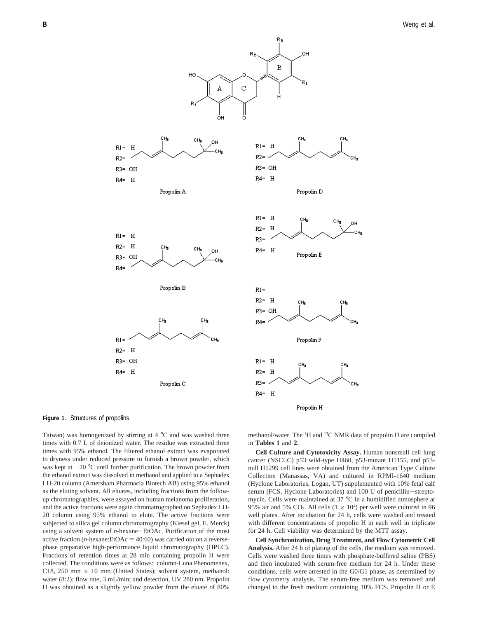



Taiwan) was homogenized by stirring at 4 °C and was washed three times with 0.7 L of deionized water. The residue was extracted three times with 95% ethanol. The filtered ethanol extract was evaporated to dryness under reduced pressure to furnish a brown powder, which was kept at  $-20$  °C until further purification. The brown powder from the ethanol extract was dissolved in methanol and applied to a Sephadex LH-20 column (Amersham Pharmacia Biotech AB) using 95% ethanol as the eluting solvent. All eluates, including fractions from the followup chromatographies, were assayed on human melanoma proliferation, and the active fractions were again chromatrographed on Sephadex LH-20 column using 95% ethanol to elute. The active fractions were subjected to silica gel column chromatrography (Kiesel gel, E. Merck) using a solvent system of *<sup>n</sup>*-hexane-EtOAc. Purification of the most active fraction ( $n$ -hexane:EtOAc =  $40:60$ ) was carried out on a reversephase preparative high-performance liquid chromatography (HPLC). Fractions of retention times at 28 min containing propolin H were collected. The conditions were as follows: column-Luna Phenomenex, C18, 250 mm  $\times$  10 mm (United States); solvent system, methanol: water (8:2); flow rate, 3 mL/min; and detection, UV 280 nm. Propolin H was obtained as a slightly yellow powder from the eluate of 80%

methanol/water. The <sup>1</sup>H and <sup>13</sup>C NMR data of propolin H are compiled in **Tables 1** and **2**.

**Cell Culture and Cytotoxicity Assay.** Human nonsmall cell lung cancer (NSCLC) p53 wild-type H460, p53-mutant H1155, and p53 null H1299 cell lines were obtained from the American Type Culture Collection (Manassas, VA) and cultured in RPMI-1640 medium (Hyclone Laboratories, Logan, UT) supplemented with 10% fetal calf serum (FCS, Hyclone Laboratories) and 100 U of penicillin-streptomycin. Cells were maintained at 37 °C in a humidified atmosphere at 95% air and 5%  $CO_2$ . All cells  $(1 \times 10^4)$  per well were cultured in 96 well plates. After incubation for 24 h, cells were washed and treated with different concentrations of propolin H in each well in triplicate for 24 h. Cell viability was determined by the MTT assay.

**Cell Synchronization, Drug Treatment, and Flow Cytometric Cell Analysis.** After 24 h of plating of the cells, the medium was removed. Cells were washed three times with phosphate-buffered saline (PBS) and then incubated with serum-free medium for 24 h. Under these conditions, cells were arrested in the G0/G1 phase, as determined by flow cytometry analysis. The serum-free medium was removed and changed to the fresh medium containing 10% FCS. Propolin H or E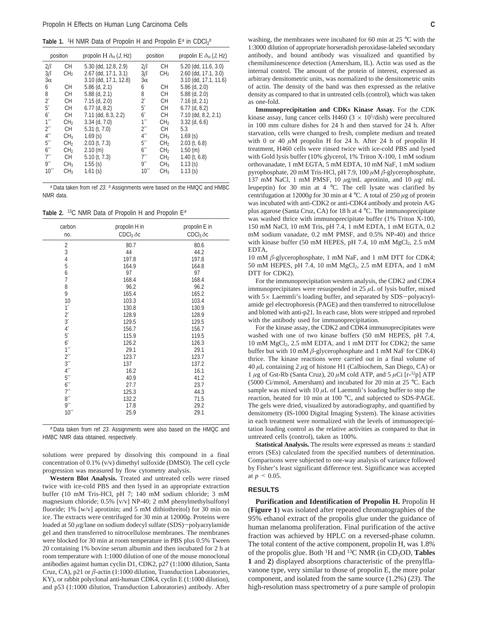**Table 1.** <sup>1</sup>H NMR Data of Propolin H and Propolin  $E^a$  in  $CDCl_3{}^b$ 

| position            |                 | propolin H $\delta_H$ (J, Hz) | position           |                 | propolin $E \delta_H (J, Hz)$ |
|---------------------|-----------------|-------------------------------|--------------------|-----------------|-------------------------------|
| $2\beta$            | CH.             | 5.30 (dd, 12.8, 2.9)          | $2\beta$           | СH              | 5.20 (dd, 11.6, 3.0)          |
| $3\beta$            | CH <sub>2</sub> | 2.67 (dd, 17.1, 3.1)          | $3\beta$           | CH <sub>2</sub> | 2.60 (dd, 17.1, 3.0)          |
| $3\alpha$           |                 | 3.10 (dd, 17.1, 12.8)         | $3\alpha$          |                 | 3.10 (dd, 17.1, 11.6)         |
| 6                   | CH.             | $5.86$ (d, 2.1)               | 6                  | CН              | $5.86$ (d, $2.0$ )            |
| 8                   | CH.             | $5.88$ (d, 2.1)               | 8                  | СH              | $5.88$ (d, $2.0$ )            |
| $2^{\prime}$        | CH.             | $7.15$ (d, $2.0$ )            | $2^{\prime}$       | СH              | $7.16$ (d, 2.1)               |
| 5'                  | CH.             | $6.77$ (d, $8.2$ )            | $5^{\prime}$       | СH              | $6.77$ (d, 8.2)               |
| 6'                  | CH.             | 7.11 (dd, 8.3, 2.2)           | 6'                 | СH              | 7.10 (dd, 8.2, 2.1)           |
| $1^{\prime\prime}$  | CH <sub>2</sub> | $3.34$ (d, $7.0$ )            | $1^{\prime\prime}$ | CH <sub>2</sub> | $3.32$ (d, $6.6$ )            |
| $2^{\prime\prime}$  | CH.             | $5.31$ (t, $7.0$ )            | $2^{\prime\prime}$ | СH              | 5.3                           |
| $4^{\prime\prime}$  | CH <sub>3</sub> | 1.69(s)                       | $4^{\prime\prime}$ | CH <sub>3</sub> | 1.69(s)                       |
| $5^{\prime\prime}$  | CH <sub>2</sub> | $2.03$ (t, $7.3$ )            | $5^{\prime\prime}$ | CH <sub>2</sub> | $2.03$ (t, 6.8)               |
| $6^{\prime\prime}$  | CH <sub>2</sub> | 2.10 (m)                      | 6''                | CH <sub>2</sub> | 1.50(m)                       |
| $7^{\prime\prime}$  | CH              | 5.10 (t, 7.3)                 | $7^{\prime\prime}$ | CH <sub>2</sub> | $1.40$ (t, 6.8)               |
| 9''                 | CH <sub>3</sub> | $1.55$ (s)                    | 9''                | CH <sub>3</sub> | 1.13(s)                       |
| $10^{\prime\prime}$ | CH <sub>3</sub> | 1.61(s)                       | 10''               | CH <sub>3</sub> | 1.13(s)                       |

 $a$  Data taken from ref 23.  $b$  Assignments were based on the HMQC and HMBC NMR data.

Table 2. <sup>13</sup>C NMR Data of Propolin H and Propolin E<sup>a</sup>

| carbon<br>no.      | propolin H in<br>$CDCl3 \delta c$ | propolin E in<br>$CDCl3 \delta c$ |
|--------------------|-----------------------------------|-----------------------------------|
| 2                  | 80.7                              | 80.6                              |
| 3                  | 44                                | 44.2                              |
| $\overline{4}$     | 197.8                             | 197.8                             |
| $\frac{5}{6}$      | 164.9                             | 164.8                             |
|                    | 97                                | 97                                |
| $\overline{7}$     | 168.4                             | 168.4                             |
| 8                  | 96.2                              | 96.2                              |
| 9                  | 165.4                             | 165.2                             |
| 10                 | 103.3                             | 103.4                             |
| 1'                 | 130.8                             | 130.9                             |
| $2^{\prime}$       | 128.9                             | 128.9                             |
| 3'                 | 129.5                             | 129.5                             |
| 4'                 | 156.7                             | 156.7                             |
| 5'                 | 115.9                             | 119.5                             |
| 6'                 | 126.2                             | 126.3                             |
| $1^{\prime\prime}$ | 29.1                              | 29.1                              |
| $2^{\prime\prime}$ | 123.7                             | 123.7                             |
| $3^{\prime\prime}$ | 137                               | 137.2                             |
| $4^{\prime\prime}$ | 16.2                              | 16.1                              |
| $5^{\prime\prime}$ | 40.9                              | 41.2                              |
| 6''                | 27.7                              | 23.7                              |
| 7''                | 125.3                             | 44.3                              |
| 8''                | 132.2                             | 71.5                              |
| 9''                | 17.8                              | 29.2                              |
| 10''               | 25.9                              | 29.1                              |

<sup>a</sup> Data taken from ref 23. Assignments were also based on the HMQC and HMBC NMR data obtained, respectively.

solutions were prepared by dissolving this compound in a final concentration of 0.1% (v/v) dimethyl sulfoxide (DMSO). The cell cycle progression was measured by flow cytometry analysis.

**Western Blot Analysis.** Treated and untreated cells were rinsed twice with ice-cold PBS and then lysed in an appropriate extraction buffer (10 mM Tris-HCl, pH 7; 140 mM sodium chloride; 3 mM magnesium chloride; 0.5% [v/v] NP-40; 2 mM phenylmethylsulfonyl fluoride; 1% [w/v] aprotinin; and 5 mM dithiothreitol) for 30 min on ice. The extracts were centrifuged for 30 min at 12000*g*. Proteins were loaded at 50 *<sup>µ</sup>*g/lane on sodium dodecyl sulfate (SDS)-polyacrylamide gel and then transferred to nitrocellulose membranes. The membranes were blocked for 30 min at room temperature in PBS plus 0.5% Tween 20 containing 1% bovine serum albumin and then incubated for 2 h at room temperature with 1:1000 dilution of one of the mouse monoclonal antibodies against human cyclin D1, CDK2, p27 (1:1000 dilution, Santa Cruz, CA), p21 or *â*-actin (1:1000 dilution, Transduction Laboratories, KY), or rabbit polyclonal anti-human CDK4, cyclin E (1:1000 dilution), and p53 (1:1000 dilution, Transduction Laboratories) antibody. After

washing, the membranes were incubated for 60 min at 25 °C with the 1:3000 dilution of appropriate horseradish peroxidase-labeled secondary antibody, and bound antibody was visualized and quantified by chemiluminescence detection (Amersham, IL). Actin was used as the internal control. The amount of the protein of interest, expressed as arbitrary densitometric units, was normalized to the densitometric units of actin. The density of the band was then expressed as the relative density as compared to that in untreated cells (control), which was taken as one-fold.

**Immunoprecipitation and CDKs Kinase Assay.** For the CDK kinase assay, lung cancer cells H460 ( $3 \times 10^5$ /dish) were precultured in 100 mm culture dishes for 24 h and then starved for 24 h. After starvation, cells were changed to fresh, complete medium and treated with 0 or 40  $\mu$ M propolin H for 24 h. After 24 h of propolin H treatment, H460 cells were rinsed twice with ice-cold PBS and lysed with Gold lysis buffer (10% glycerol, 1% Triton X-100, 1 mM sodium orthovanadate, 1 mM EGTA, 5 mM EDTA, 10 mM NaF, 1 mM sodium pyrophosphate, 20 mM Tris-HCl, pH 7.9, 100 *µ*M *â*-glycerophosphate, 137 mM NaCl, 1 mM PMSF, 10 *µ*g/mL aprotinin, and 10 *µ*g/ mL leupeptin) for 30 min at 4 °C. The cell lysate was clarified by centrifugation at  $12000g$  for 30 min at  $4^{\circ}$ C. A total of  $250 \mu g$  of protein was incubated with anti-CDK2 or anti-CDK4 antibody and protein A/G plus agarose (Santa Cruz, CA) for 18 h at 4 °C. The immunoprecipitate was washed thrice with immunoprecipitate buffer (1% Triton X-100, 150 mM NaCl, 10 mM Tris, pH 7.4, 1 mM EDTA, 1 mM EGTA, 0.2 mM sodium vanadate, 0.2 mM PMSF, and 0.5% NP-40) and thrice with kinase buffer (50 mM HEPES, pH 7.4, 10 mM  $MgCl<sub>2</sub>$ , 2.5 mM EDTA,

10 mM *â*-glycerophosphate, 1 mM NaF, and 1 mM DTT for CDK4; 50 mM HEPES, pH 7.4, 10 mM MgCl<sub>2</sub>, 2.5 mM EDTA, and 1 mM DTT for CDK2).

For the immunoprecipitation western analysis, the CDK2 and CDK4 immunoprecipitates were resuspended in 25 *µ*L of lysis buffer, mixed with  $5\times$  Laemmli's loading buffer, and separated by SDS-polyacrylamide gel electrophoresis (PAGE) and then transferred to nitrocellulose and blotted with anti-p21. In each case, blots were stripped and reprobed with the antibody used for immunoprecipitation.

For the kinase assay, the CDK2 and CDK4 immunoprecipitates were washed with one of two kinase buffers (50 mM HEPES, pH 7.4, 10 mM MgCl2, 2.5 mM EDTA, and 1 mM DTT for CDK2; the same buffer but with 10 mM *â*-glycerophosphate and 1 mM NaF for CDK4) thrice. The kinase reactions were carried out in a final volume of 40 *µ*L containing 2 *µ*g of histone H1 (Calbiochem, San Diego, CA) or 1  $\mu$ g of Gst-Rb (Santa Cruz), 20  $\mu$ M cold ATP, and 5  $\mu$ Ci [r-<sup>32</sup>p] ATP (5000 Ci/mmol, Amersham) and incubated for 20 min at 25 °C. Each sample was mixed with  $10 \mu L$  of Laemmli's loading buffer to stop the reaction, heated for 10 min at 100 °C, and subjected to SDS-PAGE. The gels were dried, visualized by autoradiography, and quantified by densitometry (IS-1000 Digital Imaging System). The kinase activities in each treatment were normalized with the levels of immunoprecipitation loading control as the relative activities as compared to that in untreated cells (control), taken as 100%.

**Statistical Analysis.** The results were expressed as means  $\pm$  standard errors (SEs) calculated from the specified numbers of determination. Comparisons were subjected to one-way analysis of variance followed by Fisher's least significant difference test. Significance was accepted at  $p \leq 0.05$ .

#### **RESULTS**

**Purification and Identification of Propolin H.** Propolin H (**Figure 1**) was isolated after repeated chromatographies of the 95% ethanol extract of the propolis glue under the guidance of human melanoma proliferation. Final purification of the active fraction was achieved by HPLC on a reversed-phase column. The total content of the active component, propolin H, was 1.8% of the propolis glue. Both 1H and 13C NMR (in CD3OD, **Tables 1** and **2**) displayed absorptions characteristic of the prenylflavanone type, very similar to those of propolin E, the more polar component, and isolated from the same source (1.2%) (*23*). The high-resolution mass spectrometry of a pure sample of prolopin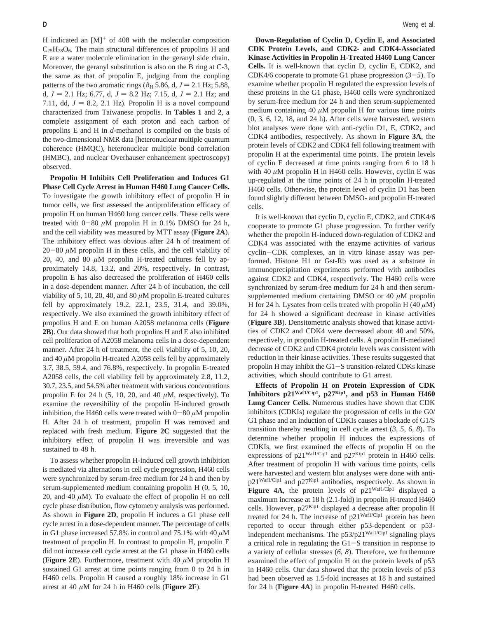H indicated an  $[M]^{+}$  of 408 with the molecular composition  $C_{25}H_{28}O_6$ . The main structural differences of propolins H and E are a water molecule elimination in the geranyl side chain. Moreover, the geranyl substitution is also on the B ring at C-3, the same as that of propolin E, judging from the coupling patterns of the two aromatic rings ( $\delta$ <sub>H</sub> 5.86, d,  $J = 2.1$  Hz; 5.88, d,  $J = 2.1$  Hz; 6.77, d,  $J = 8.2$  Hz; 7.15, d,  $J = 2.1$  Hz; and 7.11, dd,  $J = 8.2$ , 2.1 Hz). Propolin H is a novel compound characterized from Taiwanese propolis. In **Tables 1** and **2**, a complete assignment of each proton and each carbon of propolins E and H in *d*-methanol is compiled on the basis of the two-dimensional NMR data [heteronuclear multiple quantum coherence (HMQC), heteronuclear multiple bond correlation (HMBC), and nuclear Overhauser enhancement spectroscopy) observed.

**Propolin H Inhibits Cell Proliferation and Induces G1 Phase Cell Cycle Arrest in Human H460 Lung Cancer Cells.** To investigate the growth inhibitory effect of propolin H in tumor cells, we first assessed the antiproliferation efficacy of propolin H on human H460 lung cancer cells. These cells were treated with  $0-80 \mu M$  propolin H in 0.1% DMSO for 24 h, and the cell viability was measured by MTT assay (**Figure 2A**). The inhibitory effect was obvious after 24 h of treatment of  $20-80 \mu M$  propolin H in these cells, and the cell viability of 20, 40, and 80  $\mu$ M propolin H-treated cultures fell by approximately 14.8, 13.2, and 20%, respectively. In contrast, propolin E has also decreased the proliferation of H460 cells in a dose-dependent manner. After 24 h of incubation, the cell viability of 5, 10, 20, 40, and 80 *µ*M propolin E-treated cultures fell by approximately 19.2, 22.1, 23.5, 31.4, and 39.0%, respectively. We also examined the growth inhibitory effect of propolins H and E on human A2058 melanoma cells (**Figure 2B**). Our data showed that both propolins H and E also inhibited cell proliferation of A2058 melanoma cells in a dose-dependent manner. After 24 h of treatment, the cell viability of 5, 10, 20, and 40 *µ*M propolin H-treated A2058 cells fell by approximately 3.7, 38.5, 59.4, and 76.8%, respectively. In propolin E-treated A2058 cells, the cell viability fell by approximately 2.8, 11.2, 30.7, 23.5, and 54.5% after treatment with various concentrations propolin E for 24 h  $(5, 10, 20, \text{ and } 40 \,\mu\text{M}$ , respectively). To examine the reversibility of the propolin H-induced growth inhibition, the H460 cells were treated with  $0-80 \mu M$  propolin H. After 24 h of treatment, propolin H was removed and replaced with fresh medium. **Figure 2C** suggested that the inhibitory effect of propolin H was irreversible and was sustained to 48 h.

To assess whether propolin H-induced cell growth inhibition is mediated via alternations in cell cycle progression, H460 cells were synchronized by serum-free medium for 24 h and then by serum-supplemented medium containing propolin H (0, 5, 10, 20, and 40  $\mu$ M). To evaluate the effect of propolin H on cell cycle phase distribution, flow cytometry analysis was performed. As shown in **Figure 2D**, propolin H induces a G1 phase cell cycle arrest in a dose-dependent manner. The percentage of cells in G1 phase increased 57.8% in control and  $75.1\%$  with  $40 \mu M$ treatment of propolin H. In contrast to propolin H, propolin E did not increase cell cycle arrest at the G1 phase in H460 cells (**Figure 2E**). Furthermore, treatment with 40 *µ*M propolin H sustained G1 arrest at time points ranging from 0 to 24 h in H460 cells. Propolin H caused a roughly 18% increase in G1 arrest at 40  $\mu$ M for 24 h in H460 cells (**Figure 2F**).

**Down-Regulation of Cyclin D, Cyclin E, and Associated CDK Protein Levels, and CDK2- and CDK4-Associated Kinase Activities in Propolin H-Treated H460 Lung Cancer Cells.** It is well-known that cyclin D, cyclin E, CDK2, and CDK4/6 cooperate to promote G1 phase progression  $(3-5)$ . To examine whether propolin H regulated the expression levels of these proteins in the G1 phase, H460 cells were synchronized by serum-free medium for 24 h and then serum-supplemented medium containing 40  $\mu$ M propolin H for various time points (0, 3, 6, 12, 18, and 24 h). After cells were harvested, western blot analyses were done with anti-cyclin D1, E, CDK2, and CDK4 antibodies, respectively. As shown in **Figure 3A**, the protein levels of CDK2 and CDK4 fell following treatment with propolin H at the experimental time points. The protein levels of cyclin E decreased at time points ranging from 6 to 18 h with 40  $\mu$ M propolin H in H460 cells. However, cyclin E was up-regulated at the time points of 24 h in propolin H-treated H460 cells. Otherwise, the protein level of cyclin D1 has been found slightly different between DMSO- and propolin H-treated cells.

It is well-known that cyclin D, cyclin E, CDK2, and CDK4/6 cooperate to promote G1 phase progression. To further verify whether the propolin H-induced down-regulation of CDK2 and CDK4 was associated with the enzyme activities of various cyclin-CDK complexes, an in vitro kinase assay was performed. Histone H1 or Gst-Rb was used as a substrate in immunoprecipitation experiments performed with antibodies against CDK2 and CDK4, respectively. The H460 cells were synchronized by serum-free medium for 24 h and then serumsupplemented medium containing DMSO or 40 *µ*M propolin H for 24 h. Lysates from cells treated with propolin H  $(40 \mu M)$ for 24 h showed a significant decrease in kinase activities (**Figure 3B**). Densitometric analysis showed that kinase activities of CDK2 and CDK4 were decreased about 40 and 50%, respectively, in propolin H-treated cells. A propolin H-mediated decrease of CDK2 and CDK4 protein levels was consistent with reduction in their kinase activities. These results suggested that propolin H may inhibit the G1-S transition-related CDKs kinase activities, which should contribute to G1 arrest.

**Effects of Propolin H on Protein Expression of CDK Inhibitors p21Waf1/Cip1, p27Kip1, and p53 in Human H460 Lung Cancer Cells.** Numerous studies have shown that CDK inhibitors (CDKIs) regulate the progression of cells in the G0/ G1 phase and an induction of CDKIs causes a blockade of G1/S transition thereby resulting in cell cycle arrest (*3*, *5*, *6*, *8*). To determine whether propolin H induces the expressions of CDKIs, we first examined the effects of propolin H on the expressions of  $p21^{WafI/Cip1}$  and  $p27^{Kip1}$  protein in H460 cells. After treatment of propolin H with various time points, cells were harvested and western blot analyses were done with anti $p21^{Waf1/Cip1}$  and  $p27^{Kip1}$  antibodies, respectively. As shown in Figure 4A, the protein levels of p21<sup>Waf1/Cip1</sup> displayed a maximum increase at 18 h (2.1-fold) in propolin H-treated H460 cells. However,  $p27^{Kip1}$  displayed a decrease after propolin H treated for 24 h. The increase of  $p21^{Waf1/Cip1}$  protein has been reported to occur through either p53-dependent or p53 independent mechanisms. The  $p53/p21<sup>Waf1/Cip1</sup>$  signaling plays a critical role in regulating the  $G1-S$  transition in response to a variety of cellular stresses (*6*, *8*). Therefore, we furthermore examined the effect of propolin H on the protein levels of p53 in H460 cells. Our data showed that the protein levels of p53 had been observed as 1.5-fold increases at 18 h and sustained for 24 h (**Figure 4A**) in propolin H-treated H460 cells.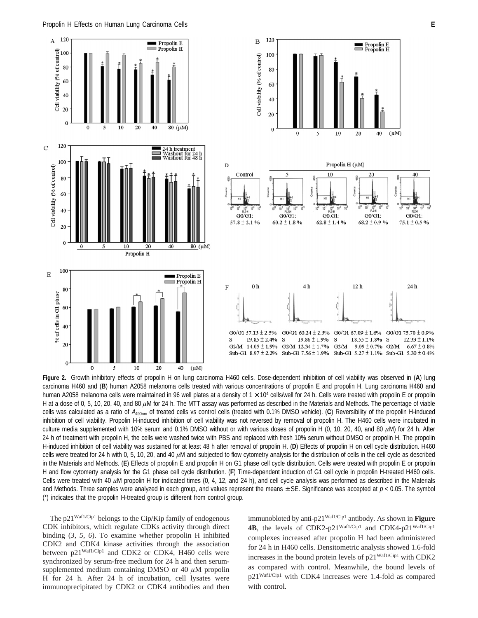

**Figure 2.** Growth inhibitory effects of propolin H on lung carcinoma H460 cells. Dose-dependent inhibition of cell viability was observed in (**A**) lung carcinoma H460 and (**B**) human A2058 melanoma cells treated with various concentrations of propolin E and propolin H. Lung carcinoma H460 and human A2058 melanoma cells were maintained in 96 well plates at a density of  $1 \times 10^4$  cells/well for 24 h. Cells were treated with propolin E or propolin H at a dose of 0, 5, 10, 20, 40, and 80  $\mu$ M for 24 h. The MTT assay was performed as described in the Materials and Methods. The percentage of viable cells was calculated as a ratio of A490nm of treated cells vs control cells (treated with 0.1% DMSO vehicle). (**C**) Reversibility of the propolin H-induced inhibition of cell viability. Propolin H-induced inhibition of cell viability was not reversed by removal of propolin H. The H460 cells were incubated in culture media supplemented with 10% serum and 0.1% DMSO without or with various doses of propolin H (0, 10, 20, 40, and 80 *µ*M) for 24 h. After 24 h of treatment with propolin H, the cells were washed twice with PBS and replaced with fresh 10% serum without DMSO or propolin H. The propolin H-induced inhibition of cell viability was sustained for at least 48 h after removal of propolin H. (**D**) Effects of propolin H on cell cycle distribution. H460 cells were treated for 24 h with 0, 5, 10, 20, and 40  $\mu$ M and subjected to flow cytometry analysis for the distribution of cells in the cell cycle as described in the Materials and Methods. (**E**) Effects of propolin E and propolin H on G1 phase cell cycle distribution. Cells were treated with propolin E or propolin H and flow cytomerty analysis for the G1 phase cell cycle distribution. (**F**) Time-dependent induction of G1 cell cycle in propolin H-treated H460 cells. Cells were treated with 40 *µ*M propolin H for indicated times (0, 4, 12, and 24 h), and cell cycle analysis was performed as described in the Materials and Methods. Three samples were analyzed in each group, and values represent the means  $\pm$  SE. Significance was accepted at  $p < 0.05$ . The symbol (\*) indicates that the propolin H-treated group is different from control group.

The p21Waf1/Cip1 belongs to the Cip/Kip family of endogenous CDK inhibitors, which regulate CDKs activity through direct binding (*3*, *5*, *6*). To examine whether propolin H inhibited CDK2 and CDK4 kinase activities through the association between p21<sup>Waf1/Cip1</sup> and CDK2 or CDK4, H460 cells were synchronized by serum-free medium for 24 h and then serumsupplemented medium containing DMSO or 40 *µ*M propolin H for 24 h. After 24 h of incubation, cell lysates were immunoprecipitated by CDK2 or CDK4 antibodies and then

immunobloted by anti-p21Waf1/Cip1 antibody. As shown in **Figure 4B**, the levels of CDK2-p21Waf1/Cip1 and CDK4-p21Waf1/Cip1 complexes increased after propolin H had been administered for 24 h in H460 cells. Densitometric analysis showed 1.6-fold increases in the bound protein levels of p21Waf1/Cip1 with CDK2 as compared with control. Meanwhile, the bound levels of p21Waf1/Cip1 with CDK4 increases were 1.4-fold as compared with control.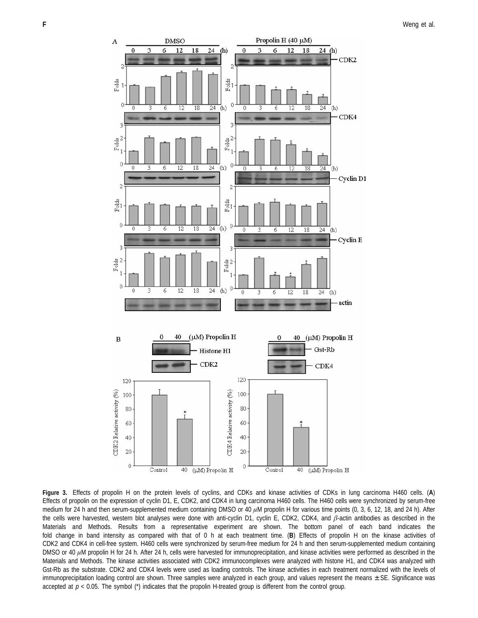

**Figure 3.** Effects of propolin H on the protein levels of cyclins, and CDKs and kinase activities of CDKs in lung carcinoma H460 cells. (**A**) Effects of propolin on the expression of cyclin D1, E, CDK2, and CDK4 in lung carcinoma H460 cells. The H460 cells were synchronized by serum-free medium for 24 h and then serum-supplemented medium containing DMSO or 40 *µ*M propolin H for various time points (0, 3, 6, 12, 18, and 24 h). After the cells were harvested, western blot analyses were done with anti-cyclin D1, cyclin E, CDK2, CDK4, and *â*-actin antibodies as described in the Materials and Methods. Results from a representative experiment are shown. The bottom panel of each band indicates the fold change in band intensity as compared with that of 0 h at each treatment time. (**B**) Effects of propolin H on the kinase activities of CDK2 and CDK4 in cell-free system. H460 cells were synchronized by serum-free medium for 24 h and then serum-supplemented medium containing DMSO or 40  $\mu$ M propolin H for 24 h. After 24 h, cells were harvested for immunoprecipitation, and kinase activities were performed as described in the Materials and Methods. The kinase activities associated with CDK2 immunocomplexes were analyzed with histone H1, and CDK4 was analyzed with Gst-Rb as the substrate. CDK2 and CDK4 levels were used as loading controls. The kinase activities in each treatment normalized with the levels of immunoprecipitation loading control are shown. Three samples were analyzed in each group, and values represent the means  $\pm$  SE. Significance was accepted at  $p < 0.05$ . The symbol (\*) indicates that the propolin H-treated group is different from the control group.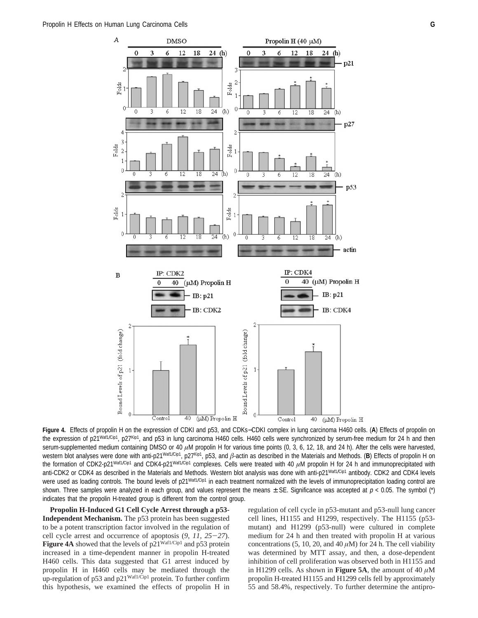

**Figure 4.** Effects of propolin H on the expression of CDKI and p53, and CDKs−CDKI complex in lung carcinoma H460 cells. (**A**) Effects of propolin on the expression of p21<sup>Waf1/Cip1</sup>, p27Kip1, and p53 in lung carcinoma H460 cells. H460 cells were synchronized by serum-free medium for 24 h and then serum-supplemented medium containing DMSO or 40  $\mu$ M propolin H for various time points (0, 3, 6, 12, 18, and 24 h). After the cells were harvested, western blot analyses were done with anti-p21<sup>Waf1/Cip1</sup>, p27Kip1, p53, and  $\beta$ -actin as described in the Materials and Methods. (B) Effects of propolin H on the formation of CDK2-p21<sup>Waf1/Cip1</sup> and CDK4-p21<sup>Waf1/Cip1</sup> complexes. Cells were treated with 40 *µM* propolin H for 24 h and immunoprecipitated with anti-CDK2 or CDK4 as described in the Materials and Methods. Western blot analysis was done with anti-p21Waf1/Cip1 antibody. CDK2 and CDK4 levels were used as loading controls. The bound levels of p21<sup>Waf1/Cip1</sup> in each treatment normalized with the levels of immunoprecipitation loading control are shown. Three samples were analyzed in each group, and values represent the means  $\pm$  SE. Significance was accepted at  $p < 0.05$ . The symbol (\*) indicates that the propolin H-treated group is different from the control group.

**Propolin H-Induced G1 Cell Cycle Arrest through a p53- Independent Mechanism.** The p53 protein has been suggested to be a potent transcription factor involved in the regulation of cell cycle arrest and occurrence of apoptosis (*9*, *<sup>11</sup>*, *<sup>25</sup>*-*27*). **Figure 4A** showed that the levels of p21<sup>Waf1/Cip1</sup> and p53 protein increased in a time-dependent manner in propolin H-treated H460 cells. This data suggested that G1 arrest induced by propolin H in H460 cells may be mediated through the up-regulation of p53 and p21<sup>Waf1/Cip1</sup> protein. To further confirm this hypothesis, we examined the effects of propolin H in

regulation of cell cycle in p53-mutant and p53-null lung cancer cell lines, H1155 and H1299, respectively. The H1155 (p53 mutant) and H1299 (p53-null) were cultured in complete medium for 24 h and then treated with propolin H at various concentrations (5, 10, 20, and 40  $\mu$ M) for 24 h. The cell viability was determined by MTT assay, and then, a dose-dependent inhibition of cell proliferation was observed both in H1155 and in H1299 cells. As shown in **Figure 5A**, the amount of 40  $\mu$ M propolin H-treated H1155 and H1299 cells fell by approximately 55 and 58.4%, respectively. To further determine the antipro-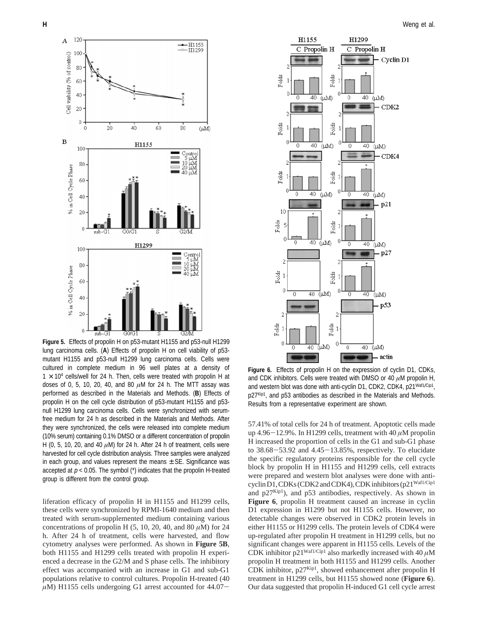

**Figure 5.** Effects of propolin H on p53-mutant H1155 and p53-null H1299 lung carcinoma cells. (**A**) Effects of propolin H on cell viability of p53 mutant H1155 and p53-null H1299 lung carcinoma cells. Cells were cultured in complete medium in 96 well plates at a density of  $1 \times 10^4$  cells/well for 24 h. Then, cells were treated with propolin H at doses of 0, 5, 10, 20, 40, and 80 *µ*M for 24 h. The MTT assay was performed as described in the Materials and Methods. (**B**) Effects of propolin H on the cell cycle distribution of p53-mutant H1155 and p53 null H1299 lung carcinoma cells. Cells were synchronized with serumfree medium for 24 h as described in the Materials and Methods. After they were synchronized, the cells were released into complete medium (10% serum) containing 0.1% DMSO or a different concentration of propolin H (0, 5, 10, 20, and 40  $\mu$ M) for 24 h. After 24 h of treatment, cells were harvested for cell cycle distribution analysis. Three samples were analyzed in each group, and values represent the means  $\pm$  SE. Significance was accepted at  $p < 0.05$ . The symbol  $(*)$  indicates that the propolin H-treated group is different from the control group.

liferation efficacy of propolin H in H1155 and H1299 cells, these cells were synchronized by RPMI-1640 medium and then treated with serum-supplemented medium containing various concentrations of propolin H  $(5, 10, 20, 40, \text{ and } 80 \,\mu\text{M})$  for 24 h. After 24 h of treatment, cells were harvested, and flow cytometry analyses were performed. As shown in **Figure 5B**, both H1155 and H1299 cells treated with propolin H experienced a decrease in the G2/M and S phase cells. The inhibitory effect was accompanied with an increase in G1 and sub-G1 populations relative to control cultures. Propolin H-treated (40  $\mu$ M) H1155 cells undergoing G1 arrest accounted for 44.07-



**Figure 6.** Effects of propolin H on the expression of cyclin D1, CDKs, and CDK inhibitors. Cells were treated with DMSO or 40 *µ*M propolin H, and western blot was done with anti-cyclin D1, CDK2, CDK4, p21 Waf1/Cip1, p27Kip1, and p53 antibodies as described in the Materials and Methods. Results from a representative experiment are shown.

57.41% of total cells for 24 h of treatment. Apoptotic cells made up 4.96-12.9%. In H1299 cells, treatment with 40 *<sup>µ</sup>*M propolin H increased the proportion of cells in the G1 and sub-G1 phase to 38.68-53.92 and 4.45-13.85%, respectively. To elucidate the specific regulatory proteins responsible for the cell cycle block by propolin H in H1155 and H1299 cells, cell extracts were prepared and western blot analyses were done with anticyclin D1, CDKs (CDK2 and CDK4), CDK inhibitors (p21<sup>Waf1/Cip1</sup> and  $p27^{Kip1}$ ), and  $p53$  antibodies, respectively. As shown in **Figure 6**, propolin H treatment caused an increase in cyclin D1 expression in H1299 but not H1155 cells. However, no detectable changes were observed in CDK2 protein levels in either H1155 or H1299 cells. The protein levels of CDK4 were up-regulated after propolin H treatment in H1299 cells, but no significant changes were apparent in H1155 cells. Levels of the CDK inhibitor  $p21^{Waf1/Cip1}$  also markedly increased with 40  $\mu$ M propolin H treatment in both H1155 and H1299 cells. Another CDK inhibitor, p27Kip1, showed enhancement after propolin H treatment in H1299 cells, but H1155 showed none (**Figure 6**). Our data suggested that propolin H-induced G1 cell cycle arrest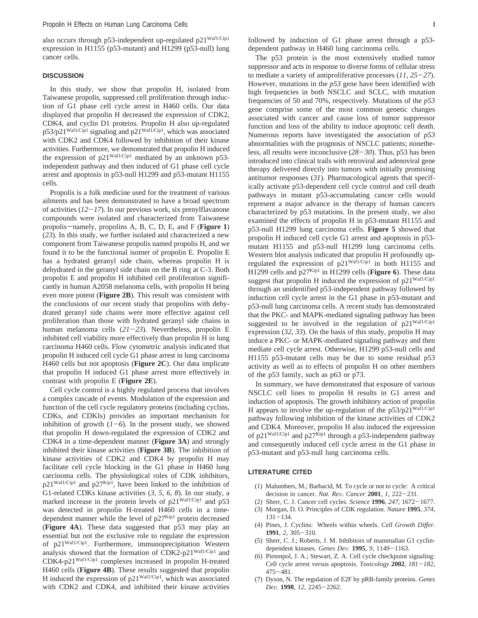also occurs through p53-independent up-regulated p21<sup>Waf1/Cip1</sup> expression in H1155 (p53-mutant) and H1299 (p53-null) lung cancer cells.

### **DISCUSSION**

In this study, we show that propolin H, isolated from Taiwanese propolis, suppressed cell proliferation through induction of G1 phase cell cycle arrest in H460 cells. Our data displayed that propolin H decreased the expression of CDK2, CDK4, and cyclin D1 proteins. Propolin H also up-regulated p53/p21Waf1/Cip1 signaling and p21Waf1/Cip1, which was associated with CDK2 and CDK4 followed by inhibition of their kinase activities. Furthermore, we demonstrated that propolin H induced the expression of p21Waf1/Cip1 mediated by an unknown p53 independent pathway and then induced of G1 phase cell cycle arrest and apoptosis in p53-null H1299 and p53-mutant H1155 cells.

Propolis is a folk medicine used for the treatment of various ailments and has been demonstrated to have a broad spectrum of activities (*12*-*17*). In our previous work, six prenylflavanone compounds were isolated and characterized from Taiwanese propolis-namely, propolins A, B, C, D, E, and F (Figure 1) (*23*). In this study, we further isolated and characterized a new component from Taiwanese propolis named propolis H, and we found it to be the functional isomer of propolin E. Propolin E has a hydrated geranyl side chain, whereas propolin H is dehydrated in the geranyl side chain on the B ring at C-3. Both propolin E and propolin H inhibited cell proliferation significantly in human A2058 melanoma cells, with propolin H being even more potent (**Figure 2B**). This result was consistent with the conclusions of our recent study that propolins with dehydrated geranyl side chains were more effective against cell proliferation than those with hydrated geranyl side chains in human melanoma cells (*21*-*23*). Nevertheless, propolin E inhibited cell viability more effectively than propolin H in lung carcinoma H460 cells. Flow cytometric analysis indicated that propolin H induced cell cycle G1 phase arrest in lung carcinoma H460 cells but not apoptosis (**Figure 2C**). Our data implicate that propolin H induced G1 phase arrest more effectively in contrast with propolin E (**Figure 2E**).

Cell cycle control is a highly regulated process that involves a complex cascade of events. Modulation of the expression and function of the cell cycle regulatory proteins (including cyclins, CDKs, and CDKIs) provides an important mechanism for inhibition of growth  $(I-6)$ . In the present study, we showed that propolin H down-regulated the expression of CDK2 and CDK4 in a time-dependent manner (**Figure 3A**) and strongly inhibited their kinase activities (**Figure 3B**). The inhibition of kinase activities of CDK2 and CDK4 by propolin H may facilitate cell cycle blocking in the G1 phase in H460 lung carcinoma cells. The physiological roles of CDK inhibitors, p21<sup>Waf1/Cip1</sup> and p27<sup>Kip1</sup>, have been linked to the inhibition of G1-related CDKs kinase activities (*3*, *5*, *6*, *8*). In our study, a marked increase in the protein levels of p21<sup>Waf1/Cip1</sup> and p53 was detected in propolin H-treated H460 cells in a timedependent manner while the level of  $p27<sup>Kip1</sup>$  protein decreased (**Figure 4A**). These data suggested that p53 may play an essential but not the exclusive role to regulate the expression of p21Waf1/Cip1. Furthermore, immunoprecipitation Western analysis showed that the formation of CDK2-p21Waf1/Cip1 and CDK4-p21Waf1/Cip1 complexes increased in propolin H-treated H460 cells (**Figure 4B**). These results suggested that propolin H induced the expression of  $p21^{Waf1/Cip1}$ , which was associated with CDK2 and CDK4, and inhibited their kinase activities

followed by induction of G1 phase arrest through a p53 dependent pathway in H460 lung carcinoma cells.

The p53 protein is the most extensively studied tumor suppressor and acts in response to diverse forms of cellular stress to mediate a variety of antiproliferative processes (*11*, *<sup>25</sup>*-*27*). However, mutations in the *p53* gene have been identified with high frequencies in both NSCLC and SCLC, with mutation frequencies of 50 and 70%, respectively. Mutations of the *p53* gene comprise some of the most common genetic changes associated with cancer and cause loss of tumor suppressor function and loss of the ability to induce apoptotic cell death. Numerous reports have investigated the association of *p53* abnormalities with the prognosis of NSCLC patients; nonetheless, all results were inconclusive (*28*-*30*). Thus, p53 has been introduced into clinical trails with retroviral and adenoviral gene therapy delivered directly into tumors with initially promising antitumor responses (*31*). Pharmacological agents that specifically activate p53-dependent cell cycle control and cell death pathways in mutant p53-accumulating cancer cells would represent a major advance in the therapy of human cancers characterized by p53 mutations. In the present study, we also examined the effects of propolin H in p53-mutant H1155 and p53-null H1299 lung carcinoma cells. **Figure 5** showed that propolin H induced cell cycle G1 arrest and apoptosis in p53 mutant H1155 and p53-null H1299 lung carcinoma cells. Western blot analysis indicated that propolin H profoundly upregulated the expression of p21Waf1/Cip1 in both H1155 and H1299 cells and p27Kip1 in H1299 cells (**Figure 6**). These data suggest that propolin H induced the expression of  $p21^{Waf1/Cip1}$ through an unidentified p53-independent pathway followed by induction cell cycle arrest in the G1 phase in p53-mutant and p53-null lung carcinoma cells. A recent study has demonstrated that the PKC- and MAPK-mediated signaling pathway has been suggested to be involved in the regulation of  $p21^{Waf1/Cip1}$ expression (*32*, *33*). On the basis of this study, propolin H may induce a PKC- or MAPK-mediated signaling pathway and then mediate cell cycle arrest. Otherwise, H1299 p53-null cells and H1155 p53-mutant cells may be due to some residual p53 activity as well as to effects of propolin H on other members of the p53 family, such as p63 or p73.

In summary, we have demonstrated that exposure of various NSCLC cell lines to propolin H results in G1 arrest and induction of apoptosis. The growth inhibitory action of propolin H appears to involve the up-regulation of the  $p53/p21^{\text{Waf1/Cip1}}$ pathway following inhibition of the kinase activities of CDK2 and CDK4. Moreover, propolin H also induced the expression of p21<sup>Waf1/Cip1</sup> and p27<sup>Kip1</sup> through a p53-independent pathway and consequently induced cell cycle arrest in the G1 phase in p53-mutant and p53-null lung carcinoma cells.

#### **LITERATURE CITED**

- (1) Malumbers, M.; Barbacid, M. To cycle or not to cycle: A critical decision in cancer. *Nat. Re*V*. Cancer* **<sup>2001</sup>**, *<sup>1</sup>*, 222-231.
- (2) Sherr, C. J. Cancer cell cycles. *Science* **<sup>1996</sup>**, *<sup>247</sup>*, 1672-1677.
- (3) Morgan, D. O. Principles of CDK regulation. *Nature* **1995**, *374*,  $131 - 134.$
- (4) Pines, J. Cyclins: Wheels within wheels. *Cell Growth Differ.* **<sup>1991</sup>**, *<sup>2</sup>*, 305-310.
- (5) Sherr, C. J.; Roberts, J. M. Inhibitors of mammalian G1 cyclindependent kinases. *Genes De*V*.* **<sup>1995</sup>**, *<sup>9</sup>*, 1149-1163.
- (6) Pietenpol, J. A.; Stewart, Z. A. Cell cycle checkpoint signaling: Cell cycle arrest versus apoptosis. *Toxicology* **<sup>2002</sup>**, *<sup>181</sup>*-*182*, <sup>475</sup>-481.
- (7) Dyson, N. The regulation of E2F by pRB-family proteins. *Genes De*V*.* **<sup>1998</sup>**, *<sup>12</sup>*, 2245-2262.